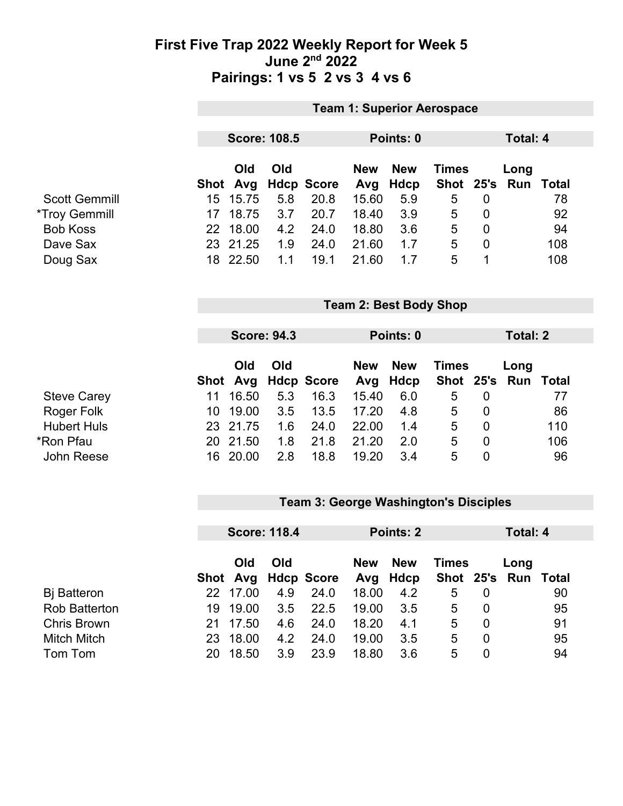### **First Five Trap 2022 Weekly Report for Week 5 June 2nd 2022 Pairings: 1 vs 5 2 vs 3 4 vs 6**

|                             |      |          |                     |                   |            |             | <b>Team 1: Superior Aerospace</b> |                |                 |              |  |
|-----------------------------|------|----------|---------------------|-------------------|------------|-------------|-----------------------------------|----------------|-----------------|--------------|--|
|                             |      |          |                     |                   |            |             |                                   |                |                 |              |  |
|                             |      |          | <b>Score: 108.5</b> |                   |            | Points: 0   |                                   |                | <b>Total: 4</b> |              |  |
|                             |      |          |                     |                   |            |             |                                   |                |                 |              |  |
|                             |      | Old      | Old                 |                   | <b>New</b> | <b>New</b>  | <b>Times</b>                      |                | Long            |              |  |
|                             | Shot | Avg      |                     | <b>Hdcp Score</b> | Avg        | <b>Hdcp</b> | <b>Shot</b>                       | 25's           | Run             | <b>Total</b> |  |
| <b>Scott Gemmill</b>        | 15   | 15.75    | 5.8                 | 20.8              | 15.60      | 5.9         | 5                                 | $\Omega$       |                 | 78           |  |
| <i><b>*Troy Gemmill</b></i> | 17   | 18.75    | 3.7                 | 20.7              | 18.40      | 3.9         | 5                                 | $\mathbf 0$    |                 | 92           |  |
|                             | 22   | 18.00    | 4.2                 | 24.0              | 18.80      | 3.6         | 5                                 | $\mathbf 0$    |                 | 94           |  |
|                             |      | 23 21.25 | 1.9                 | 24.0              | 21.60      | 1.7         | 5                                 | $\mathbf 0$    |                 | 108          |  |
|                             |      | 18 22.50 | 1.1                 | 19.1              | 21.60      | 1.7         | 5                                 | 1              |                 | 108          |  |
|                             |      |          | <b>Score: 94.3</b>  |                   |            | Points: 0   |                                   |                | <b>Total: 2</b> |              |  |
|                             |      | Old      | Old                 |                   | <b>New</b> | <b>New</b>  | <b>Times</b>                      |                | Long            |              |  |
|                             | Shot | Avg      |                     | <b>Hdcp Score</b> | Avg        | <b>Hdcp</b> | <b>Shot</b>                       | 25's           | Run             | <b>Total</b> |  |
|                             | 11   | 16.50    | 5.3                 | 16.3              | 15.40      | 6.0         | 5                                 | $\mathbf 0$    |                 | 77           |  |
|                             | 10   | 19.00    | 3.5                 | 13.5              | 17.20      | 4.8         | 5                                 | $\overline{0}$ |                 | 86           |  |
|                             | 23   | 21.75    | 1.6                 | 24.0              | 22.00      | 1.4         | 5                                 | $\overline{0}$ |                 | 110          |  |
|                             | 20   | 21.50    | 1.8                 | 21.8              | 21.20      | 2.0         | 5                                 | $\mathbf 0$    |                 | 106          |  |
|                             |      | 16 20.00 | 2.8                 | 18.8              | 19.20      | 3.4         | 5                                 | $\overline{0}$ |                 | 96           |  |
|                             |      |          |                     |                   |            |             |                                   |                |                 |              |  |
|                             |      |          |                     |                   |            |             |                                   |                |                 |              |  |

#### **Team 3: George Washington's Disciples**

|                      | <b>Score: 118.4</b> |          |     | <b>Points: 2</b>    |            |                        | Total: 4     |                |                             |    |
|----------------------|---------------------|----------|-----|---------------------|------------|------------------------|--------------|----------------|-----------------------------|----|
|                      |                     | Old      | Old | Shot Avg Hdcp Score | <b>New</b> | <b>New</b><br>Avg Hdcp | <b>Times</b> |                | Long<br>Shot 25's Run Total |    |
| <b>B</b> j Batteron  |                     | 22 17.00 | 4.9 | 24.0                | 18.00      | 4.2                    | 5            | 0              |                             | 90 |
| <b>Rob Batterton</b> |                     | 19 19.00 | 3.5 | 22.5                | 19.00      | 3.5                    | 5            | $\Omega$       |                             | 95 |
| <b>Chris Brown</b>   | 21.                 | 17.50    | 4.6 | 24.0                | 18.20      | 4.1                    | 5            | 0              |                             | 91 |
| <b>Mitch Mitch</b>   | 23                  | 18.00    | 4.2 | 24.0                | 19.00      | 3.5                    | 5            | $\Omega$       |                             | 95 |
| Tom Tom              | 20.                 | 18.50    | 3.9 | 23.9                | 18.80      | 3.6                    | 5            | $\overline{0}$ |                             | 94 |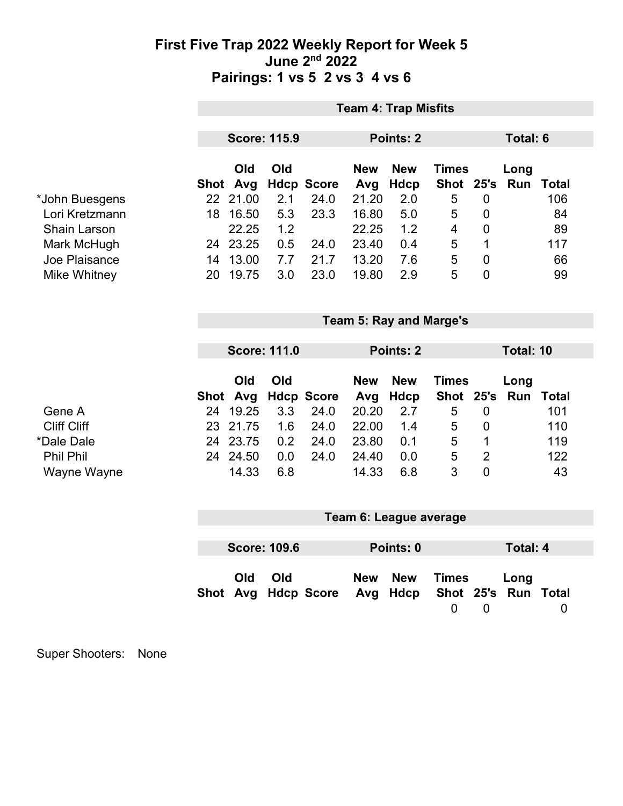## **First Five Trap 2022 Weekly Report for Week 5 June 2nd 2022 Pairings: 1 vs 5 2 vs 3 4 vs 6**

|                                       |      |                   |                     |                           |                   | <b>Team 4: Trap Misfits</b>    |                               |                                  |                 |                     |  |
|---------------------------------------|------|-------------------|---------------------|---------------------------|-------------------|--------------------------------|-------------------------------|----------------------------------|-----------------|---------------------|--|
|                                       |      |                   |                     |                           |                   |                                |                               |                                  |                 |                     |  |
|                                       |      |                   | <b>Score: 115.9</b> |                           |                   | Points: 2                      |                               |                                  | <b>Total: 6</b> |                     |  |
|                                       |      | Old<br>Shot Avg   | Old                 | <b>Hdcp Score</b>         | <b>New</b><br>Avg | <b>New</b><br><b>Hdcp</b>      | <b>Times</b><br><b>Shot</b>   | 25's                             | Long<br>Run     | <b>Total</b>        |  |
| *John Buesgens                        |      | 22 21.00          | 2.1                 | 24.0                      | 21.20             | 2.0                            | 5                             | $\mathbf 0$                      |                 | 106                 |  |
| Lori Kretzmann<br><b>Shain Larson</b> | 18   | 16.50<br>22.25    | 5.3<br>1.2          | 23.3                      | 16.80<br>22.25    | 5.0<br>1.2                     | 5<br>$\overline{\mathcal{A}}$ | $\mathbf 0$<br>$\overline{0}$    |                 | 84<br>89            |  |
| Mark McHugh                           |      | 24 23.25          | 0.5                 | 24.0                      | 23.40             | 0.4                            | 5                             | 1                                |                 | 117                 |  |
| Joe Plaisance                         | 14   | 13.00             | 7.7                 | 21.7                      | 13.20             | 7.6                            | 5                             | $\mathbf 0$                      |                 | 66                  |  |
| Mike Whitney                          | 20   | 19.75             | 3.0                 | 23.0                      | 19.80             | 2.9                            | 5                             | $\overline{0}$                   |                 | 99                  |  |
|                                       |      |                   |                     |                           |                   | <b>Team 5: Ray and Marge's</b> |                               |                                  |                 |                     |  |
|                                       |      |                   |                     |                           |                   |                                |                               |                                  |                 |                     |  |
|                                       |      |                   | <b>Score: 111.0</b> |                           |                   | Points: 2                      |                               |                                  | Total: 10       |                     |  |
|                                       |      | Old               | Old                 |                           | <b>New</b>        | <b>New</b>                     | <b>Times</b>                  |                                  | Long            |                     |  |
| Gene A                                | 24   | Shot Avg<br>19.25 | 3.3                 | <b>Hdcp Score</b><br>24.0 | Avg<br>20.20      | <b>Hdcp</b><br>2.7             | <b>Shot</b><br>5              | 25's<br>$\mathbf 0$              | Run             | <b>Total</b><br>101 |  |
| <b>Cliff Cliff</b>                    | 23   | 21.75             | 1.6                 | 24.0                      | 22.00             | 1.4                            | 5                             | $\mathbf 0$                      |                 | 110                 |  |
| *Dale Dale<br><b>Phil Phil</b>        |      | 24 23.75          | 0.2                 | 24.0                      | 23.80             | 0.1                            | 5                             | $\mathbf 1$                      |                 | 119                 |  |
| Wayne Wayne                           |      | 24 24.50<br>14.33 | 0.0<br>6.8          | 24.0                      | 24.40<br>14.33    | 0.0<br>6.8                     | 5<br>3                        | $\overline{2}$<br>$\overline{0}$ |                 | 122<br>43           |  |
|                                       |      |                   |                     |                           |                   |                                |                               |                                  |                 |                     |  |
|                                       |      |                   |                     |                           |                   | Team 6: League average         |                               |                                  |                 |                     |  |
|                                       |      |                   |                     |                           |                   |                                |                               |                                  |                 |                     |  |
|                                       |      |                   | <b>Score: 109.6</b> |                           |                   | Points: 0                      |                               |                                  | <b>Total: 4</b> |                     |  |
|                                       | Shot | Old<br>Avg        | Old                 | <b>Hdcp Score</b>         | <b>New</b><br>Avg | <b>New</b><br><b>Hdcp</b>      | <b>Times</b><br><b>Shot</b>   | 25's                             | Long<br>Run     | <b>Total</b>        |  |
|                                       |      |                   |                     |                           |                   |                                | $\mathbf 0$                   | $\mathbf 0$                      |                 | $\boldsymbol{0}$    |  |

Super Shooters: None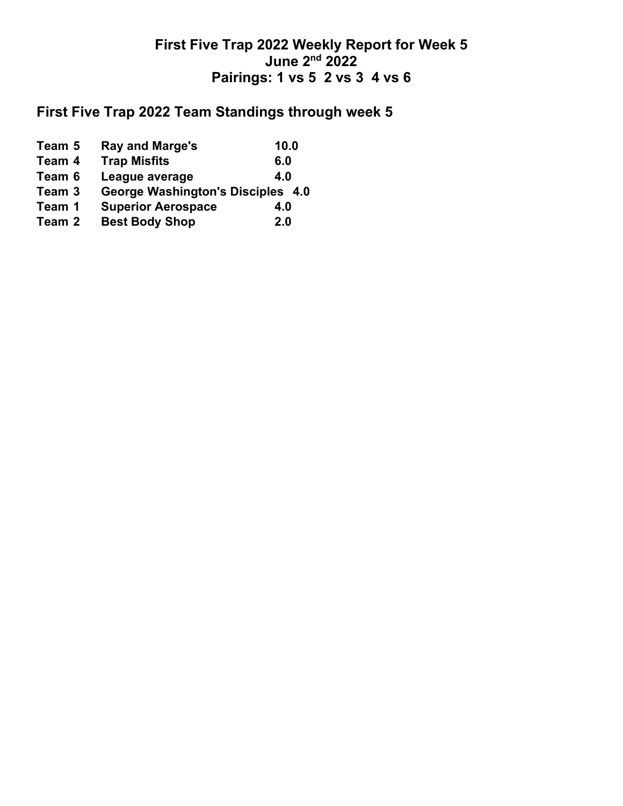## **First Five Trap 2022 Weekly Report for Week 5 June 2nd 2022 Pairings: 1 vs 5 2 vs 3 4 vs 6**

# **First Five Trap 2022 Team Standings through week 5**

| Team 5 | Ray and Marge's                   | 10.0 |
|--------|-----------------------------------|------|
| Team 4 | <b>Trap Misfits</b>               | 6.0  |
| Team 6 | League average                    | 4.0  |
| Team 3 | George Washington's Disciples 4.0 |      |
| Team 1 | <b>Superior Aerospace</b>         | 4.0  |
| Team 2 | <b>Best Body Shop</b>             | 2.0  |